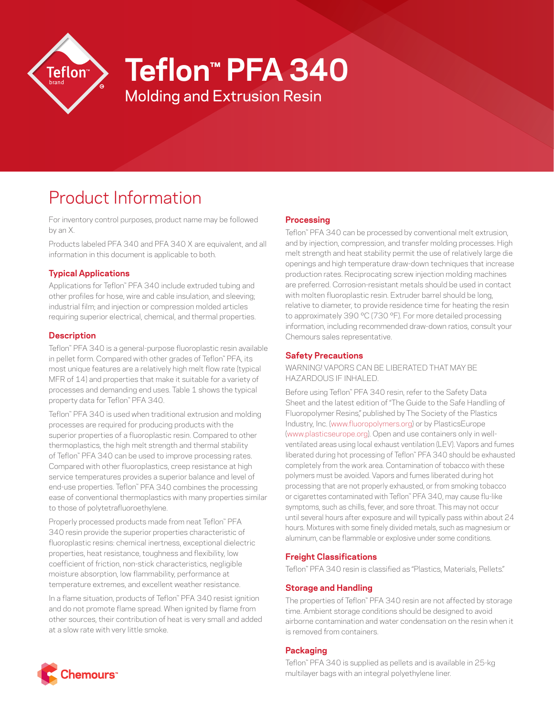

# **Teflon™ PFA 340**

Molding and Extrusion Resin

# Product Information

For inventory control purposes, product name may be followed by an X.

Products labeled PFA 340 and PFA 340 X are equivalent, and all information in this document is applicable to both.

# **Typical Applications**

Applications for Teflon™ PFA 340 include extruded tubing and other profiles for hose, wire and cable insulation, and sleeving; industrial film; and injection or compression molded articles requiring superior electrical, chemical, and thermal properties.

### **Description**

Teflon™ PFA 340 is a general-purpose fluoroplastic resin available in pellet form. Compared with other grades of Teflon™ PFA, its most unique features are a relatively high melt flow rate (typical MFR of 14) and properties that make it suitable for a variety of processes and demanding end uses. Table 1 shows the typical property data for Teflon™ PFA 340.

Teflon™ PFA 340 is used when traditional extrusion and molding processes are required for producing products with the superior properties of a fluoroplastic resin. Compared to other thermoplastics, the high melt strength and thermal stability of Teflon™ PFA 340 can be used to improve processing rates. Compared with other fluoroplastics, creep resistance at high service temperatures provides a superior balance and level of end-use properties. Teflon™ PFA 340 combines the processing ease of conventional thermoplastics with many properties similar to those of polytetrafluoroethylene.

Properly processed products made from neat Teflon™ PFA 340 resin provide the superior properties characteristic of fluoroplastic resins: chemical inertness, exceptional dielectric properties, heat resistance, toughness and flexibility, low coefficient of friction, non-stick characteristics, negligible moisture absorption, low flammability, performance at temperature extremes, and excellent weather resistance.

In a flame situation, products of Teflon™ PFA 340 resist ignition and do not promote flame spread. When ignited by flame from other sources, their contribution of heat is very small and added at a slow rate with very little smoke.

### **Processing**

Teflon™ PFA 340 can be processed by conventional melt extrusion, and by injection, compression, and transfer molding processes. High melt strength and heat stability permit the use of relatively large die openings and high temperature draw-down techniques that increase production rates. Reciprocating screw injection molding machines are preferred. Corrosion-resistant metals should be used in contact with molten fluoroplastic resin. Extruder barrel should be long, relative to diameter, to provide residence time for heating the resin to approximately 390 °C (730 °F). For more detailed processing information, including recommended draw-down ratios, consult your Chemours sales representative.

## **Safety Precautions**

WARNING! VAPORS CAN BE LIBERATED THAT MAY BE HAZARDOUS IF INHALED.

Before using Teflon™ PFA 340 resin, refer to the Safety Data Sheet and the latest edition of "The Guide to the Safe Handling of Fluoropolymer Resins," published by The Society of the Plastics Industry, Inc. ([www.fluoropolymers.org\)](http://www.fluoropolymers.org) or by PlasticsEurope [\(www.plasticseurope.org\)](http://www.plasticseurope.org). Open and use containers only in wellventilated areas using local exhaust ventilation (LEV). Vapors and fumes liberated during hot processing of Teflon™ PFA 340 should be exhausted completely from the work area. Contamination of tobacco with these polymers must be avoided. Vapors and fumes liberated during hot processing that are not properly exhausted, or from smoking tobacco or cigarettes contaminated with Teflon™ PFA 340, may cause flu-like symptoms, such as chills, fever, and sore throat. This may not occur until several hours after exposure and will typically pass within about 24 hours. Mixtures with some finely divided metals, such as magnesium or aluminum, can be flammable or explosive under some conditions.

### **Freight Classifications**

Teflon™ PFA 340 resin is classified as "Plastics, Materials, Pellets."

### **Storage and Handling**

The properties of Teflon™ PFA 340 resin are not affected by storage time. Ambient storage conditions should be designed to avoid airborne contamination and water condensation on the resin when it is removed from containers.

### **Packaging**

Teflon™ PFA 340 is supplied as pellets and is available in 25-kg multilayer bags with an integral polyethylene liner.